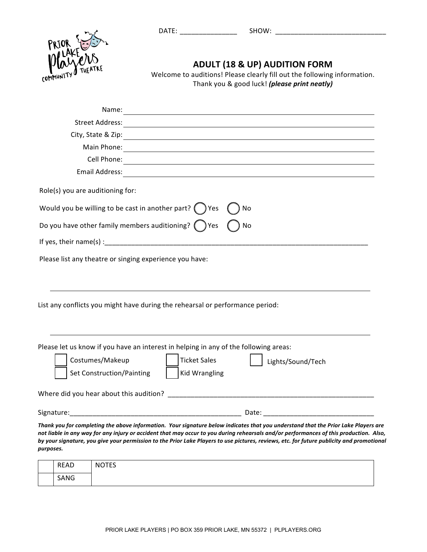DATE: \_\_\_\_\_\_\_\_\_\_\_\_\_\_\_ SHOW: \_\_\_\_\_\_\_\_\_\_\_\_\_\_\_\_\_\_\_\_\_\_\_\_\_\_\_\_\_



**ADULT (18 & UP) AUDITION FORM** 

Welcome to auditions! Please clearly fill out the following information. Thank you & good luck! (please print neatly)

| Name:                                                                                                                                                                                                                                                                                                                                                                                                                                  |
|----------------------------------------------------------------------------------------------------------------------------------------------------------------------------------------------------------------------------------------------------------------------------------------------------------------------------------------------------------------------------------------------------------------------------------------|
| <b>Street Address:</b>                                                                                                                                                                                                                                                                                                                                                                                                                 |
| City, State & Zip:                                                                                                                                                                                                                                                                                                                                                                                                                     |
| Main Phone:<br><u> 1989 - Johann Stoff, deutscher Stoffen und der Stoffen und der Stoffen und der Stoffen und der Stoffen und der</u>                                                                                                                                                                                                                                                                                                  |
| Cell Phone:                                                                                                                                                                                                                                                                                                                                                                                                                            |
| Email Address:<br><u> 1989 - Johann Stoff, amerikansk politiker (* 1908)</u>                                                                                                                                                                                                                                                                                                                                                           |
| Role(s) you are auditioning for:                                                                                                                                                                                                                                                                                                                                                                                                       |
| Would you be willing to be cast in another part? $($ $)$ Yes<br>No                                                                                                                                                                                                                                                                                                                                                                     |
| Do you have other family members auditioning? $($ $)$ Yes<br>No                                                                                                                                                                                                                                                                                                                                                                        |
|                                                                                                                                                                                                                                                                                                                                                                                                                                        |
| Please list any theatre or singing experience you have:<br>List any conflicts you might have during the rehearsal or performance period:                                                                                                                                                                                                                                                                                               |
| Please let us know if you have an interest in helping in any of the following areas:<br>Costumes/Makeup<br><b>Ticket Sales</b><br>Lights/Sound/Tech<br>Set Construction/Painting<br><b>Kid Wrangling</b>                                                                                                                                                                                                                               |
| Where did you hear about this audition?                                                                                                                                                                                                                                                                                                                                                                                                |
| Date: The contract of the contract of the contract of the contract of the contract of the contract of the contract of the contract of the contract of the contract of the contract of the contract of the contract of the cont                                                                                                                                                                                                         |
| Thank you for completing the above information. Your signature below indicates that you understand that the Prior Lake Players are<br>not liable in any way for any injury or accident that may occur to you during rehearsals and/or performances of this production. Also,<br>by your signature, you give your permission to the Prior Lake Players to use pictures, reviews, etc. for future publicity and promotional<br>purposes. |

| <b>READ</b> | <b>NOTES</b> |
|-------------|--------------|
| SANG        |              |